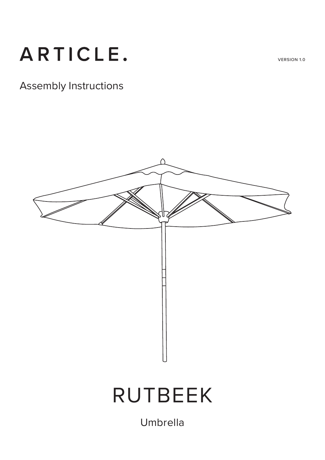

## ARTICLE.

## Assembly Instructions



## RUTBEEK

Umbrella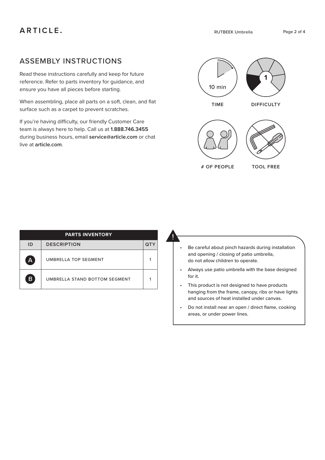## ASSEMBLY INSTRUCTIONS

Read these instructions carefully and keep for future reference. Refer to parts inventory for guidance, and ensure you have all pieces before starting.

When assembling, place all parts on a soft, clean, and flat surface such as a carpet to prevent scratches.

If you're having difficulty, our friendly Customer Care team is always here to help. Call us at **1.888.746.3455** during business hours, email **service@article.com** or chat live at **article.com**.



**# OF PEOPLE**

**TOOL FREE**

|    | <b>PARTS INVENTORY</b>        |     |
|----|-------------------------------|-----|
| ID | <b>DESCRIPTION</b>            | QΤY |
| A  | UMBRELLA TOP SEGMENT          |     |
| B  | UMBRELLA STAND BOTTOM SEGMENT |     |

| Be careful about pinch hazards during installation |
|----------------------------------------------------|
| and opening / closing of patio umbrella,           |
| do not allow children to operate.                  |

- Always use patio umbrella with the base designed for it.
- This product is not designed to have products hanging from the frame, canopy, ribs or have lights and sources of heat installed under canvas.
- Do not install near an open / direct flame, cooking areas, or under power lines.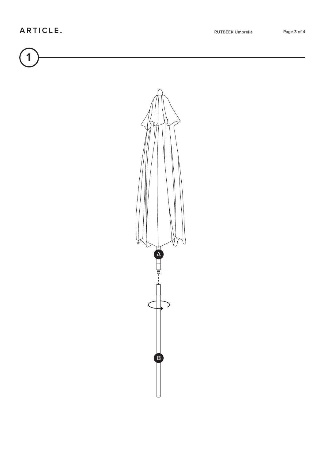1

RUTBEEK Umbrella